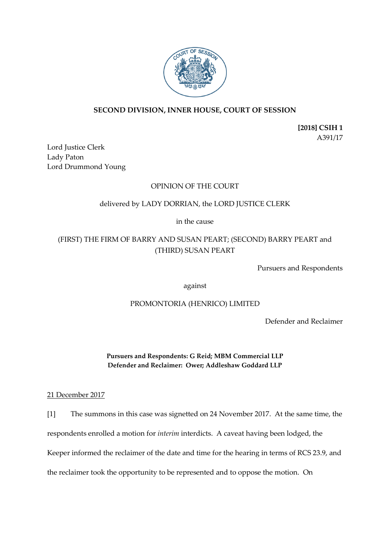

## **SECOND DIVISION, INNER HOUSE, COURT OF SESSION**

**[2018] CSIH 1** A391/17

Lord Justice Clerk Lady Paton Lord Drummond Young

### OPINION OF THE COURT

### delivered by LADY DORRIAN, the LORD JUSTICE CLERK

in the cause

# (FIRST) THE FIRM OF BARRY AND SUSAN PEART; (SECOND) BARRY PEART and (THIRD) SUSAN PEART

Pursuers and Respondents

against

#### PROMONTORIA (HENRICO) LIMITED

Defender and Reclaimer

**Pursuers and Respondents: G Reid; MBM Commercial LLP Defender and Reclaimer: Ower; Addleshaw Goddard LLP**

21 December 2017

[1] The summons in this case was signetted on 24 November 2017. At the same time, the respondents enrolled a motion for *interim* interdicts. A caveat having been lodged, the Keeper informed the reclaimer of the date and time for the hearing in terms of RCS 23.9, and the reclaimer took the opportunity to be represented and to oppose the motion. On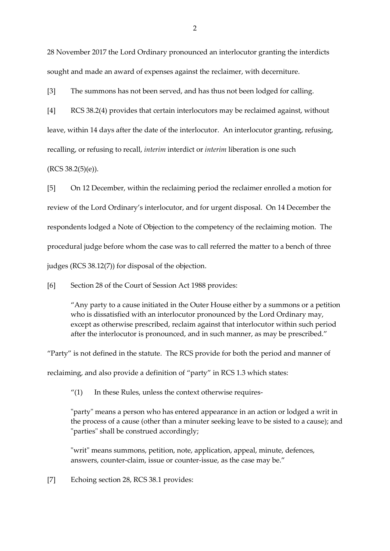28 November 2017 the Lord Ordinary pronounced an interlocutor granting the interdicts sought and made an award of expenses against the reclaimer, with decerniture.

[3] The summons has not been served, and has thus not been lodged for calling.

[4] RCS 38.2(4) provides that certain interlocutors may be reclaimed against, without leave, within 14 days after the date of the interlocutor. An interlocutor granting, refusing, recalling, or refusing to recall, *interim* interdict or *interim* liberation is one such

 $(RCS 38.2(5)(e)).$ 

[5] On 12 December, within the reclaiming period the reclaimer enrolled a motion for review of the Lord Ordinary's interlocutor, and for urgent disposal. On 14 December the respondents lodged a Note of Objection to the competency of the reclaiming motion. The procedural judge before whom the case was to call referred the matter to a bench of three judges (RCS 38.12(7)) for disposal of the objection.

[6] Section 28 of the Court of Session Act 1988 provides:

"Any party to a cause initiated in the Outer House either by a summons or a petition who is dissatisfied with an interlocutor pronounced by the Lord Ordinary may, except as otherwise prescribed, reclaim against that interlocutor within such period after the interlocutor is pronounced, and in such manner, as may be prescribed."

"Party" is not defined in the statute. The RCS provide for both the period and manner of reclaiming, and also provide a definition of "party" in RCS 1.3 which states:

 $''(1)$  In these Rules, unless the context otherwise requires-

"party" means a person who has entered appearance in an action or lodged a writ in the process of a cause (other than a minuter seeking leave to be sisted to a cause); and "parties" shall be construed accordingly;

"writ" means summons, petition, note, application, appeal, minute, defences, answers, counter-claim, issue or counter-issue, as the case may be."

[7] Echoing section 28, RCS 38.1 provides: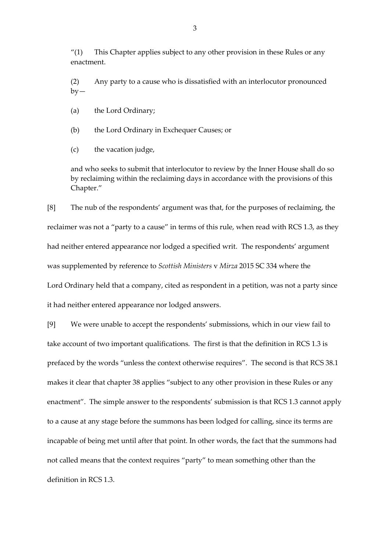" $(1)$  This Chapter applies subject to any other provision in these Rules or any enactment.

(2) Any party to a cause who is dissatisfied with an interlocutor pronounced  $by-$ 

(a) the Lord Ordinary;

(b) the Lord Ordinary in Exchequer Causes; or

(c) the vacation judge,

and who seeks to submit that interlocutor to review by the Inner House shall do so by reclaiming within the reclaiming days in accordance with the provisions of this Chapter."

[8] The nub of the respondents' argument was that, for the purposes of reclaiming, the reclaimer was not a "party to a cause" in terms of this rule, when read with RCS 1.3, as they had neither entered appearance nor lodged a specified writ. The respondents' argument was supplemented by reference to *Scottish Ministers* v *Mirza* 2015 SC 334 where the Lord Ordinary held that a company, cited as respondent in a petition, was not a party since it had neither entered appearance nor lodged answers.

[9] We were unable to accept the respondents' submissions, which in our view fail to take account of two important qualifications. The first is that the definition in RCS 1.3 is prefaced by the words "unless the context otherwise requires". The second is that RCS 38.1 makes it clear that chapter 38 applies "subject to any other provision in these Rules or any enactment". The simple answer to the respondents' submission is that RCS 1.3 cannot apply to a cause at any stage before the summons has been lodged for calling, since its terms are incapable of being met until after that point. In other words, the fact that the summons had not called means that the context requires "party" to mean something other than the definition in RCS 1.3.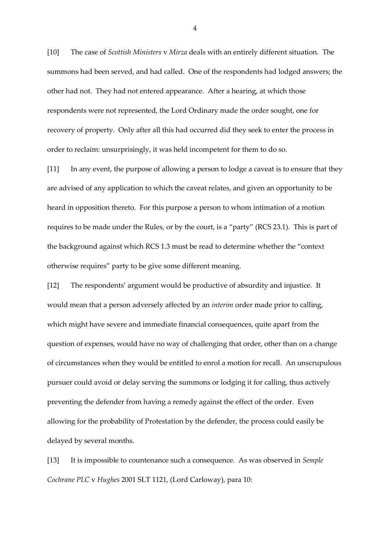[10] The case of *Scottish Ministers* v *Mirza* deals with an entirely different situation. The summons had been served, and had called. One of the respondents had lodged answers; the other had not. They had not entered appearance. After a hearing, at which those respondents were not represented, the Lord Ordinary made the order sought, one for recovery of property. Only after all this had occurred did they seek to enter the process in order to reclaim: unsurprisingly, it was held incompetent for them to do so.

[11] In any event, the purpose of allowing a person to lodge a caveat is to ensure that they are advised of any application to which the caveat relates, and given an opportunity to be heard in opposition thereto. For this purpose a person to whom intimation of a motion requires to be made under the Rules, or by the court, is a "party" (RCS 23.1). This is part of the background against which RCS 1.3 must be read to determine whether the "context otherwise requires" party to be give some different meaning.

[12] The respondents' argument would be productive of absurdity and injustice. It would mean that a person adversely affected by an *interim* order made prior to calling, which might have severe and immediate financial consequences, quite apart from the question of expenses, would have no way of challenging that order, other than on a change of circumstances when they would be entitled to enrol a motion for recall. An unscrupulous pursuer could avoid or delay serving the summons or lodging it for calling, thus actively preventing the defender from having a remedy against the effect of the order. Even allowing for the probability of Protestation by the defender, the process could easily be delayed by several months.

[13] It is impossible to countenance such a consequence. As was observed in *Semple Cochrane PLC* v *Hughes* 2001 SLT 1121, (Lord Carloway), para 10:

4